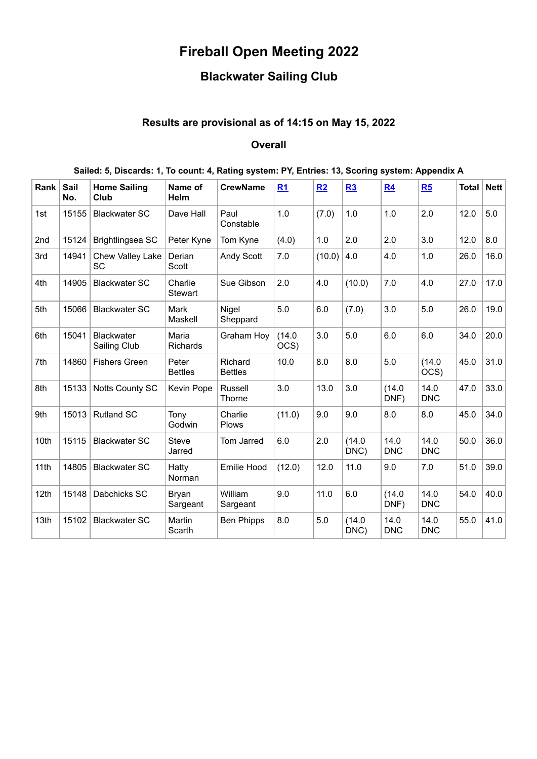# **Fireball Open Meeting 2022**

## **Blackwater Sailing Club**

### **Results are provisional as of 14:15 on May 15, 2022**

#### **Overall**

#### **Sailed: 5, Discards: 1, To count: 4, Rating system: PY, Entries: 13, Scoring system: Appendix A**

| Rank | Sail<br>No. | <b>Home Sailing</b><br>Club   | Name of<br>Helm           | <b>CrewName</b>           | R1             | R2     | R3             | R <sub>4</sub>     | R5                 | <b>Total</b> | <b>Nett</b> |
|------|-------------|-------------------------------|---------------------------|---------------------------|----------------|--------|----------------|--------------------|--------------------|--------------|-------------|
| 1st  | 15155       | <b>Blackwater SC</b>          | Dave Hall                 | Paul<br>Constable         | 1.0            | (7.0)  | 1.0            | 1.0                | 2.0                | 12.0         | 5.0         |
| 2nd  | 15124       | Brightlingsea SC              | Peter Kyne                | Tom Kyne                  | (4.0)          | 1.0    | 2.0            | 2.0                | 3.0                | 12.0         | 8.0         |
| 3rd  | 14941       | Chew Valley Lake<br><b>SC</b> | Derian<br>Scott           | Andy Scott                | 7.0            | (10.0) | 4.0            | 4.0                | 1.0                | 26.0         | 16.0        |
| 4th  | 14905       | <b>Blackwater SC</b>          | Charlie<br><b>Stewart</b> | Sue Gibson                | 2.0            | 4.0    | (10.0)         | 7.0                | 4.0                | 27.0         | 17.0        |
| 5th  | 15066       | <b>Blackwater SC</b>          | Mark<br>Maskell           | Nigel<br>Sheppard         | 5.0            | 6.0    | (7.0)          | 3.0                | 5.0                | 26.0         | 19.0        |
| 6th  | 15041       | Blackwater<br>Sailing Club    | Maria<br>Richards         | <b>Graham Hoy</b>         | (14.0)<br>OCS) | 3.0    | 5.0            | 6.0                | 6.0                | 34.0         | 20.0        |
| 7th  | 14860       | <b>Fishers Green</b>          | Peter<br><b>Bettles</b>   | Richard<br><b>Bettles</b> | 10.0           | 8.0    | 8.0            | 5.0                | (14.0)<br>OCS)     | 45.0         | 31.0        |
| 8th  | 15133       | Notts County SC               | Kevin Pope                | <b>Russell</b><br>Thorne  | 3.0            | 13.0   | 3.0            | (14.0)<br>DNF)     | 14.0<br><b>DNC</b> | 47.0         | 33.0        |
| 9th  | 15013       | <b>Rutland SC</b>             | Tony<br>Godwin            | Charlie<br><b>Plows</b>   | (11.0)         | 9.0    | 9.0            | 8.0                | 8.0                | 45.0         | 34.0        |
| 10th | 15115       | <b>Blackwater SC</b>          | <b>Steve</b><br>Jarred    | Tom Jarred                | 6.0            | 2.0    | (14.0)<br>DNC) | 14.0<br><b>DNC</b> | 14.0<br><b>DNC</b> | 50.0         | 36.0        |
| 11th | 14805       | <b>Blackwater SC</b>          | Hatty<br><b>Norman</b>    | <b>Emilie Hood</b>        | (12.0)         | 12.0   | 11.0           | 9.0                | 7.0                | 51.0         | 39.0        |
| 12th | 15148       | Dabchicks SC                  | <b>Bryan</b><br>Sargeant  | William<br>Sargeant       | 9.0            | 11.0   | 6.0            | (14.0)<br>DNF)     | 14.0<br><b>DNC</b> | 54.0         | 40.0        |
| 13th | 15102       | <b>Blackwater SC</b>          | Martin<br>Scarth          | <b>Ben Phipps</b>         | 8.0            | 5.0    | (14.0)<br>DNC) | 14.0<br><b>DNC</b> | 14.0<br><b>DNC</b> | 55.0         | 41.0        |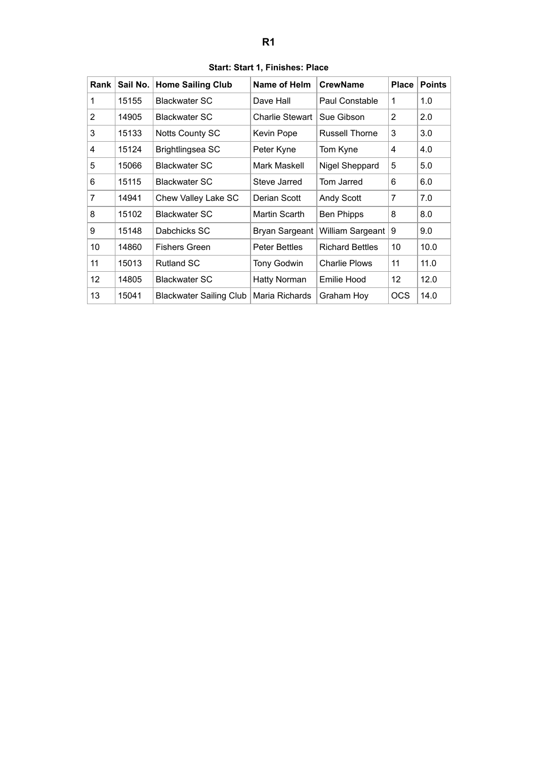<span id="page-1-0"></span>

| Rank | Sail No. | <b>Home Sailing Club</b>       | Name of Helm         | <b>CrewName</b>        | <b>Place</b> | <b>Points</b> |
|------|----------|--------------------------------|----------------------|------------------------|--------------|---------------|
| 1    | 15155    | <b>Blackwater SC</b>           | Dave Hall            | Paul Constable         | 1            | 1.0           |
| 2    | 14905    | <b>Blackwater SC</b>           | Charlie Stewart      | Sue Gibson             | 2            | 2.0           |
| 3    | 15133    | <b>Notts County SC</b>         | Kevin Pope           | <b>Russell Thorne</b>  | 3            | 3.0           |
| 4    | 15124    | Brightlingsea SC               | Peter Kyne           | Tom Kyne               | 4            | 4.0           |
| 5    | 15066    | Blackwater SC                  | Mark Maskell         | Nigel Sheppard         | 5            | 5.0           |
| 6    | 15115    | <b>Blackwater SC</b>           | Steve Jarred         | Tom Jarred             | 6            | 6.0           |
| 7    | 14941    | Chew Valley Lake SC            | Derian Scott         | <b>Andy Scott</b>      | 7            | 7.0           |
| 8    | 15102    | Blackwater SC                  | Martin Scarth        | <b>Ben Phipps</b>      | 8            | 8.0           |
| 9    | 15148    | Dabchicks SC                   | Bryan Sargeant       | William Sargeant       | 9            | 9.0           |
| 10   | 14860    | <b>Fishers Green</b>           | <b>Peter Bettles</b> | <b>Richard Bettles</b> | 10           | 10.0          |
| 11   | 15013    | <b>Rutland SC</b>              | <b>Tony Godwin</b>   | <b>Charlie Plows</b>   | 11           | 11.0          |
| 12   | 14805    | <b>Blackwater SC</b>           | Hatty Norman         | Emilie Hood            | 12           | 12.0          |
| 13   | 15041    | <b>Blackwater Sailing Club</b> | Maria Richards       | Graham Hoy             | <b>OCS</b>   | 14.0          |

**Start: Start 1, Finishes: Place**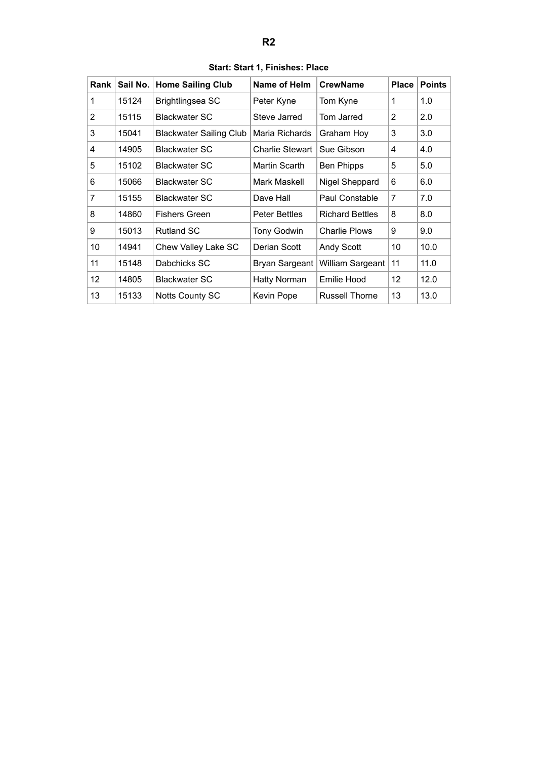<span id="page-2-0"></span>

| Rank           | Sail No. | <b>Home Sailing Club</b>       | Name of Helm           | <b>CrewName</b>        | <b>Place</b> | <b>Points</b> |
|----------------|----------|--------------------------------|------------------------|------------------------|--------------|---------------|
| 1              | 15124    | Brightlingsea SC               | Peter Kyne             | Tom Kyne               | 1            | 1.0           |
| 2              | 15115    | <b>Blackwater SC</b>           | Steve Jarred           | Tom Jarred             | 2            | 2.0           |
| 3              | 15041    | <b>Blackwater Sailing Club</b> | Maria Richards         | Graham Hoy             | 3            | 3.0           |
| 4              | 14905    | <b>Blackwater SC</b>           | <b>Charlie Stewart</b> | Sue Gibson             | 4            | 4.0           |
| 5              | 15102    | Blackwater SC                  | Martin Scarth          | <b>Ben Phipps</b>      | 5            | 5.0           |
| 6              | 15066    | <b>Blackwater SC</b>           | Mark Maskell           | Nigel Sheppard         | 6            | 6.0           |
| $\overline{7}$ | 15155    | <b>Blackwater SC</b>           | Dave Hall              | Paul Constable         | 7            | 7.0           |
| 8              | 14860    | <b>Fishers Green</b>           | <b>Peter Bettles</b>   | <b>Richard Bettles</b> | 8            | 8.0           |
| 9              | 15013    | <b>Rutland SC</b>              | <b>Tony Godwin</b>     | <b>Charlie Plows</b>   | 9            | 9.0           |
| 10             | 14941    | Chew Valley Lake SC            | Derian Scott           | <b>Andy Scott</b>      | 10           | 10.0          |
| 11             | 15148    | Dabchicks SC                   | <b>Bryan Sargeant</b>  | William Sargeant       | 11           | 11.0          |
| 12             | 14805    | <b>Blackwater SC</b>           | <b>Hatty Norman</b>    | Emilie Hood            | 12           | 12.0          |
| 13             | 15133    | Notts County SC                | Kevin Pope             | <b>Russell Thorne</b>  | 13           | 13.0          |

**Start: Start 1, Finishes: Place**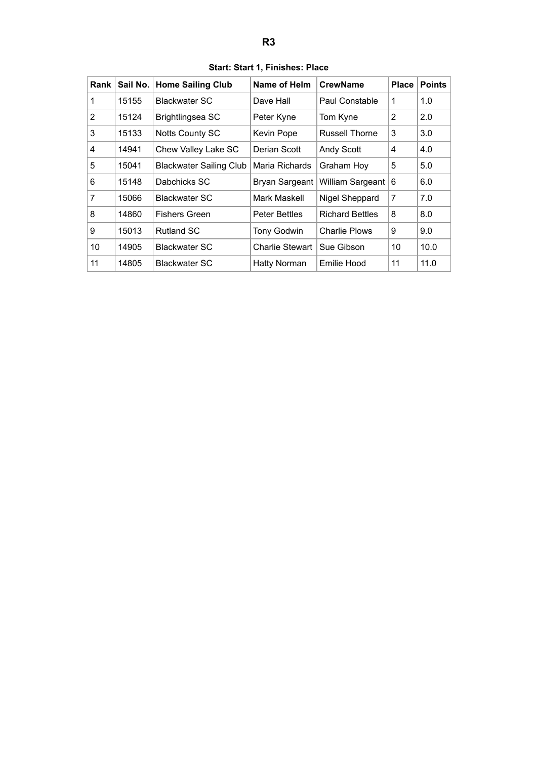<span id="page-3-0"></span>

| Rank         | Sail No. | <b>Home Sailing Club</b>       | Name of Helm         | <b>CrewName</b>        | <b>Place</b> | <b>Points</b> |
|--------------|----------|--------------------------------|----------------------|------------------------|--------------|---------------|
| 1            | 15155    | Blackwater SC                  | Dave Hall            | Paul Constable         | 1            | 1.0           |
| $\mathbf{2}$ | 15124    | Brightlingsea SC               | Peter Kyne           | Tom Kyne               | 2            | 2.0           |
| 3            | 15133    | <b>Notts County SC</b>         | Kevin Pope           | <b>Russell Thorne</b>  | 3            | 3.0           |
| 4            | 14941    | Chew Valley Lake SC            | Derian Scott         | <b>Andy Scott</b>      | 4            | 4.0           |
| 5            | 15041    | <b>Blackwater Sailing Club</b> | Maria Richards       | Graham Hoy             | 5            | 5.0           |
| 6            | 15148    | Dabchicks SC                   | Bryan Sargeant       | William Sargeant       | 6            | 6.0           |
| 7            | 15066    | <b>Blackwater SC</b>           | Mark Maskell         | Nigel Sheppard         | 7            | 7.0           |
| 8            | 14860    | <b>Fishers Green</b>           | <b>Peter Bettles</b> | <b>Richard Bettles</b> | 8            | 8.0           |
| 9            | 15013    | <b>Rutland SC</b>              | <b>Tony Godwin</b>   | <b>Charlie Plows</b>   | 9            | 9.0           |
| 10           | 14905    | <b>Blackwater SC</b>           | Charlie Stewart      | Sue Gibson             | 10           | 10.0          |
| 11           | 14805    | <b>Blackwater SC</b>           | <b>Hatty Norman</b>  | Emilie Hood            | 11           | 11.0          |

**Start: Start 1, Finishes: Place**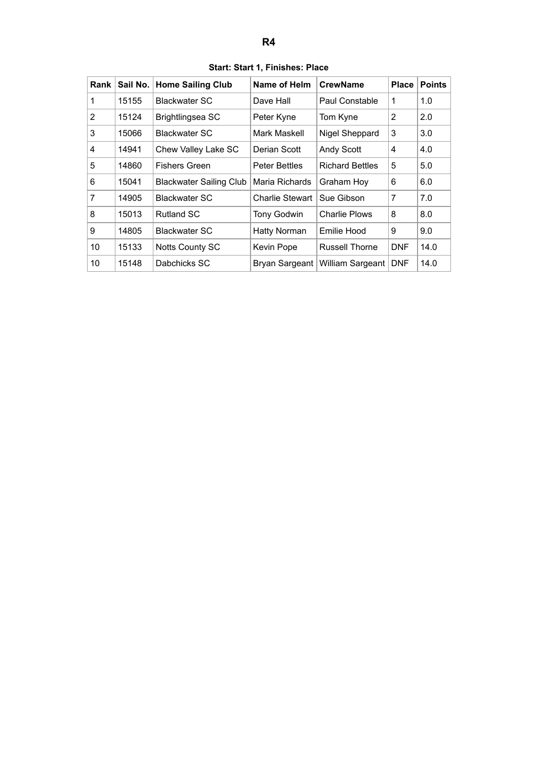<span id="page-4-0"></span>

| Start: Start 1, Finishes: Place |          |                                          |                      |                        |       |               |  |  |
|---------------------------------|----------|------------------------------------------|----------------------|------------------------|-------|---------------|--|--|
| Rank                            | Sail No. | <b>Home Sailing Club</b>                 | Name of Helm         | <b>CrewName</b>        | Place | <b>Points</b> |  |  |
| $\mathbf{1}$                    | 15155    | <b>Blackwater SC</b>                     | Dave Hall            | Paul Constable         | 1     | 1.0           |  |  |
| $\overline{2}$                  | 15124    | Brightlingsea SC                         | Peter Kyne           | Tom Kyne               | 2     | 2.0           |  |  |
| 3                               | 15066    | <b>Blackwater SC</b>                     | Mark Maskell         | Nigel Sheppard         | 3     | 3.0           |  |  |
| $\overline{4}$                  | 14941    | Chew Valley Lake SC                      | Derian Scott         | <b>Andy Scott</b>      | 4     | 4.0           |  |  |
| 5                               | 14860    | <b>Fishers Green</b>                     | <b>Peter Bettles</b> | <b>Richard Bettles</b> | 5     | 5.0           |  |  |
| 6                               | 15041    | Blackwater Sailing Club   Maria Richards |                      | Graham Hoy             | 6     | 6.0           |  |  |

7 | 14905 | Blackwater SC | Charlie Stewart | Sue Gibson |  $7$  |  $7.0$ 8 | 15013 | Rutland SC | Tony Godwin | Charlie Plows |  $8$  |  $8.0$ 9 | 14805 | Blackwater SC | Hatty Norman | Emilie Hood | 9 | 9.0 10 | 15133 | Notts County SC | Kevin Pope | Russell Thorne | DNF | 14.0 10 | 15148 | Dabchicks SC | Bryan Sargeant | William Sargeant | DNF | 14.0